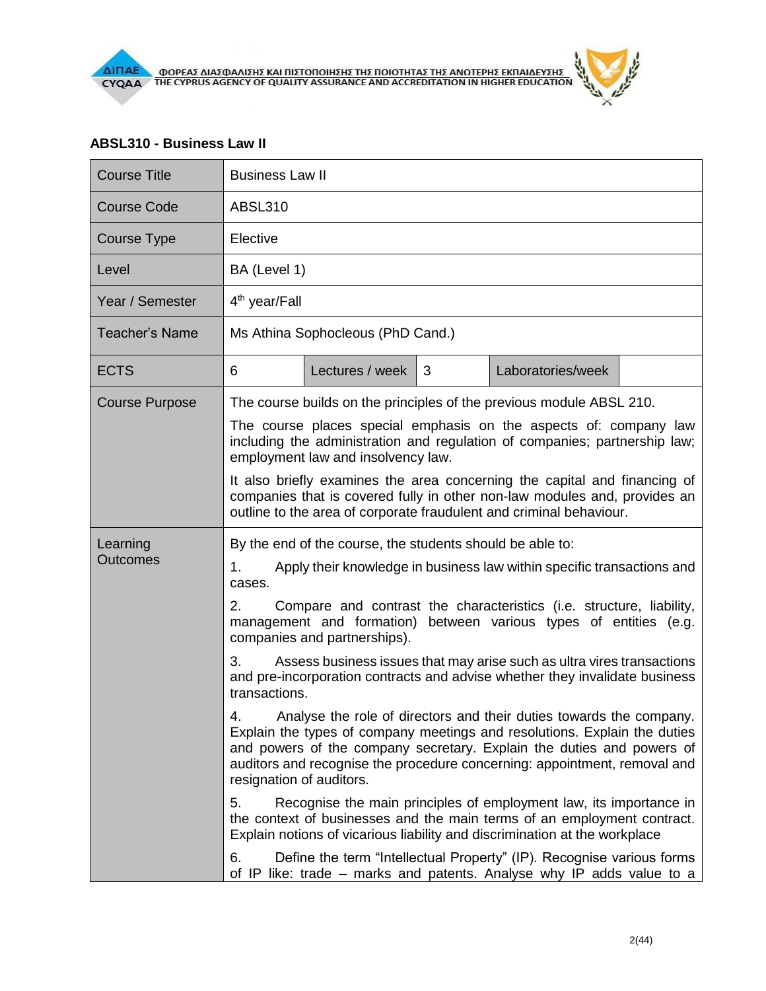

## **ABSL310 - Business Law II**

| <b>Course Title</b>         | <b>Business Law II</b>                                                                                                                                                                                                                                                                                                                   |                 |   |                                                                                                                                                |  |  |
|-----------------------------|------------------------------------------------------------------------------------------------------------------------------------------------------------------------------------------------------------------------------------------------------------------------------------------------------------------------------------------|-----------------|---|------------------------------------------------------------------------------------------------------------------------------------------------|--|--|
| <b>Course Code</b>          | <b>ABSL310</b>                                                                                                                                                                                                                                                                                                                           |                 |   |                                                                                                                                                |  |  |
| Course Type                 | Elective                                                                                                                                                                                                                                                                                                                                 |                 |   |                                                                                                                                                |  |  |
| Level                       | BA (Level 1)                                                                                                                                                                                                                                                                                                                             |                 |   |                                                                                                                                                |  |  |
| Year / Semester             | 4 <sup>th</sup> year/Fall                                                                                                                                                                                                                                                                                                                |                 |   |                                                                                                                                                |  |  |
| <b>Teacher's Name</b>       | Ms Athina Sophocleous (PhD Cand.)                                                                                                                                                                                                                                                                                                        |                 |   |                                                                                                                                                |  |  |
| <b>ECTS</b>                 | 6                                                                                                                                                                                                                                                                                                                                        | Lectures / week | 3 | Laboratories/week                                                                                                                              |  |  |
| <b>Course Purpose</b>       | The course builds on the principles of the previous module ABSL 210.                                                                                                                                                                                                                                                                     |                 |   |                                                                                                                                                |  |  |
|                             | The course places special emphasis on the aspects of: company law<br>including the administration and regulation of companies; partnership law;<br>employment law and insolvency law.                                                                                                                                                    |                 |   |                                                                                                                                                |  |  |
|                             | It also briefly examines the area concerning the capital and financing of<br>companies that is covered fully in other non-law modules and, provides an<br>outline to the area of corporate fraudulent and criminal behaviour.                                                                                                            |                 |   |                                                                                                                                                |  |  |
| Learning<br><b>Outcomes</b> | By the end of the course, the students should be able to:                                                                                                                                                                                                                                                                                |                 |   |                                                                                                                                                |  |  |
|                             | 1.<br>Apply their knowledge in business law within specific transactions and<br>cases.                                                                                                                                                                                                                                                   |                 |   |                                                                                                                                                |  |  |
|                             | 2.<br>Compare and contrast the characteristics (i.e. structure, liability,<br>management and formation) between various types of entities (e.g.<br>companies and partnerships).                                                                                                                                                          |                 |   |                                                                                                                                                |  |  |
|                             | 3.<br>Assess business issues that may arise such as ultra vires transactions<br>and pre-incorporation contracts and advise whether they invalidate business<br>transactions.                                                                                                                                                             |                 |   |                                                                                                                                                |  |  |
|                             | Analyse the role of directors and their duties towards the company.<br>4.<br>Explain the types of company meetings and resolutions. Explain the duties<br>and powers of the company secretary. Explain the duties and powers of<br>auditors and recognise the procedure concerning: appointment, removal and<br>resignation of auditors. |                 |   |                                                                                                                                                |  |  |
|                             | 5.<br>Recognise the main principles of employment law, its importance in<br>the context of businesses and the main terms of an employment contract.<br>Explain notions of vicarious liability and discrimination at the workplace                                                                                                        |                 |   |                                                                                                                                                |  |  |
|                             | 6.                                                                                                                                                                                                                                                                                                                                       |                 |   | Define the term "Intellectual Property" (IP). Recognise various forms<br>of IP like: trade - marks and patents. Analyse why IP adds value to a |  |  |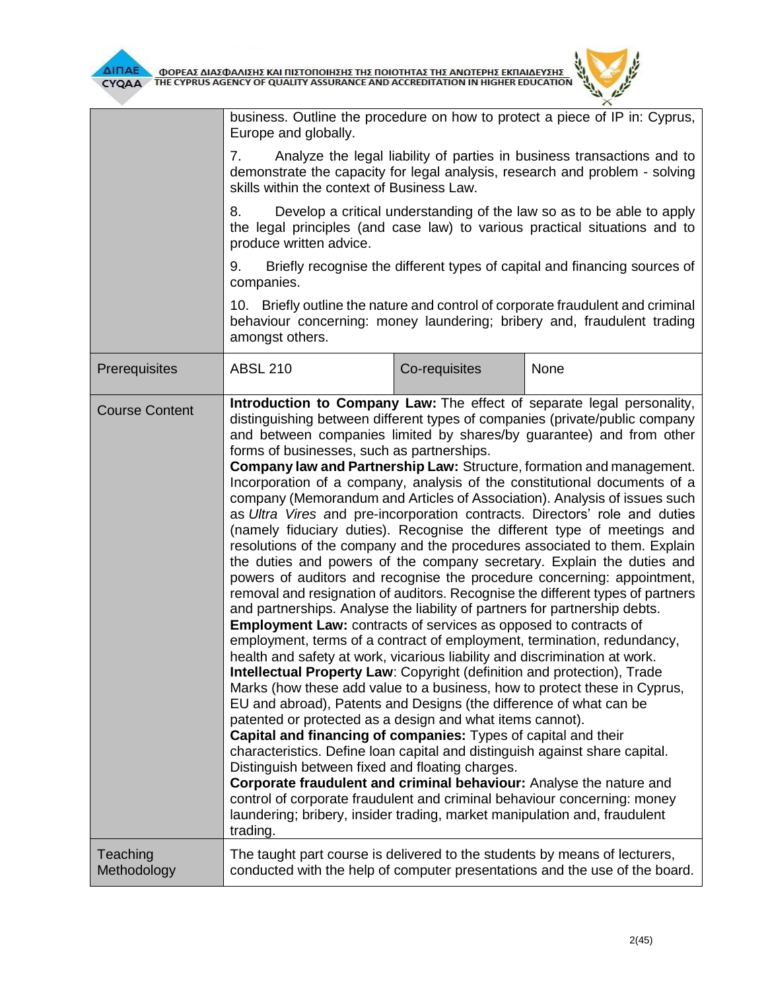

|                         | business. Outline the procedure on how to protect a piece of IP in: Cyprus,<br>Europe and globally.                                                                                                                                                                                                                                                                                                                                                                                                                                                                                                                                                                                                                                                                                                                                                                                                                                                                                                                                                                                                                                                                                                                                                                                                                                                                                                                                                                                                                                                                                                                                                                                                                                                                                                                                                                                                                                                                                                                                                      |               |      |  |  |
|-------------------------|----------------------------------------------------------------------------------------------------------------------------------------------------------------------------------------------------------------------------------------------------------------------------------------------------------------------------------------------------------------------------------------------------------------------------------------------------------------------------------------------------------------------------------------------------------------------------------------------------------------------------------------------------------------------------------------------------------------------------------------------------------------------------------------------------------------------------------------------------------------------------------------------------------------------------------------------------------------------------------------------------------------------------------------------------------------------------------------------------------------------------------------------------------------------------------------------------------------------------------------------------------------------------------------------------------------------------------------------------------------------------------------------------------------------------------------------------------------------------------------------------------------------------------------------------------------------------------------------------------------------------------------------------------------------------------------------------------------------------------------------------------------------------------------------------------------------------------------------------------------------------------------------------------------------------------------------------------------------------------------------------------------------------------------------------------|---------------|------|--|--|
|                         | 7.<br>Analyze the legal liability of parties in business transactions and to<br>demonstrate the capacity for legal analysis, research and problem - solving<br>skills within the context of Business Law.                                                                                                                                                                                                                                                                                                                                                                                                                                                                                                                                                                                                                                                                                                                                                                                                                                                                                                                                                                                                                                                                                                                                                                                                                                                                                                                                                                                                                                                                                                                                                                                                                                                                                                                                                                                                                                                |               |      |  |  |
|                         | Develop a critical understanding of the law so as to be able to apply<br>8.<br>the legal principles (and case law) to various practical situations and to<br>produce written advice.<br>Briefly recognise the different types of capital and financing sources of<br>9.<br>companies.<br>10. Briefly outline the nature and control of corporate fraudulent and criminal<br>behaviour concerning: money laundering; bribery and, fraudulent trading<br>amongst others.                                                                                                                                                                                                                                                                                                                                                                                                                                                                                                                                                                                                                                                                                                                                                                                                                                                                                                                                                                                                                                                                                                                                                                                                                                                                                                                                                                                                                                                                                                                                                                                   |               |      |  |  |
|                         |                                                                                                                                                                                                                                                                                                                                                                                                                                                                                                                                                                                                                                                                                                                                                                                                                                                                                                                                                                                                                                                                                                                                                                                                                                                                                                                                                                                                                                                                                                                                                                                                                                                                                                                                                                                                                                                                                                                                                                                                                                                          |               |      |  |  |
|                         |                                                                                                                                                                                                                                                                                                                                                                                                                                                                                                                                                                                                                                                                                                                                                                                                                                                                                                                                                                                                                                                                                                                                                                                                                                                                                                                                                                                                                                                                                                                                                                                                                                                                                                                                                                                                                                                                                                                                                                                                                                                          |               |      |  |  |
| Prerequisites           | <b>ABSL 210</b>                                                                                                                                                                                                                                                                                                                                                                                                                                                                                                                                                                                                                                                                                                                                                                                                                                                                                                                                                                                                                                                                                                                                                                                                                                                                                                                                                                                                                                                                                                                                                                                                                                                                                                                                                                                                                                                                                                                                                                                                                                          | Co-requisites | None |  |  |
| <b>Course Content</b>   | Introduction to Company Law: The effect of separate legal personality,<br>distinguishing between different types of companies (private/public company<br>and between companies limited by shares/by guarantee) and from other<br>forms of businesses, such as partnerships.<br>Company law and Partnership Law: Structure, formation and management.<br>Incorporation of a company, analysis of the constitutional documents of a<br>company (Memorandum and Articles of Association). Analysis of issues such<br>as Ultra Vires and pre-incorporation contracts. Directors' role and duties<br>(namely fiduciary duties). Recognise the different type of meetings and<br>resolutions of the company and the procedures associated to them. Explain<br>the duties and powers of the company secretary. Explain the duties and<br>powers of auditors and recognise the procedure concerning: appointment,<br>removal and resignation of auditors. Recognise the different types of partners<br>and partnerships. Analyse the liability of partners for partnership debts.<br><b>Employment Law:</b> contracts of services as opposed to contracts of<br>employment, terms of a contract of employment, termination, redundancy,<br>health and safety at work, vicarious liability and discrimination at work.<br>Intellectual Property Law: Copyright (definition and protection), Trade<br>Marks (how these add value to a business, how to protect these in Cyprus,<br>EU and abroad), Patents and Designs (the difference of what can be<br>patented or protected as a design and what items cannot).<br>Capital and financing of companies: Types of capital and their<br>characteristics. Define loan capital and distinguish against share capital.<br>Distinguish between fixed and floating charges.<br>Corporate fraudulent and criminal behaviour: Analyse the nature and<br>control of corporate fraudulent and criminal behaviour concerning: money<br>laundering; bribery, insider trading, market manipulation and, fraudulent<br>trading. |               |      |  |  |
| Teaching<br>Methodology | The taught part course is delivered to the students by means of lecturers,<br>conducted with the help of computer presentations and the use of the board.                                                                                                                                                                                                                                                                                                                                                                                                                                                                                                                                                                                                                                                                                                                                                                                                                                                                                                                                                                                                                                                                                                                                                                                                                                                                                                                                                                                                                                                                                                                                                                                                                                                                                                                                                                                                                                                                                                |               |      |  |  |